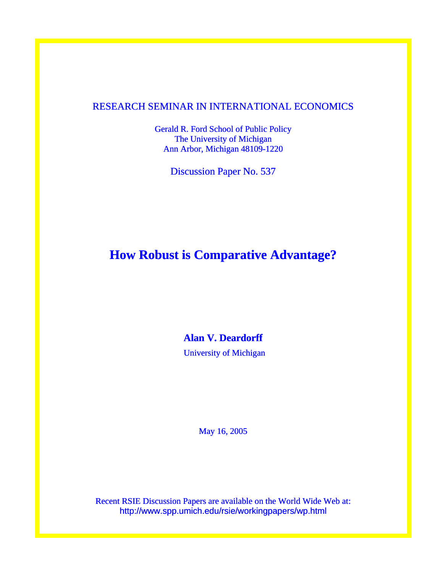## RESEARCH SEMINAR IN INTERNATIONAL ECONOMICS

Gerald R. Ford School of Public Policy The University of Michigan Ann Arbor, Michigan 48109-1220

Discussion Paper No. 537

# **How Robust is Comparative Advantage?**

## **Alan V. Deardorff**

University of Michigan

May 16, 2005

Recent RSIE Discussion Papers are available on the World Wide Web at: http://www.spp.umich.edu/rsie/workingpapers/wp.html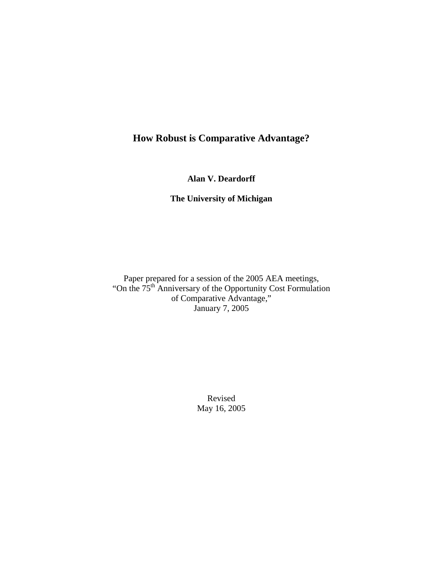## **How Robust is Comparative Advantage?**

**Alan V. Deardorff** 

**The University of Michigan** 

Paper prepared for a session of the 2005 AEA meetings, "On the 75<sup>th</sup> Anniversary of the Opportunity Cost Formulation of Comparative Advantage," January 7, 2005

> Revised May 16, 2005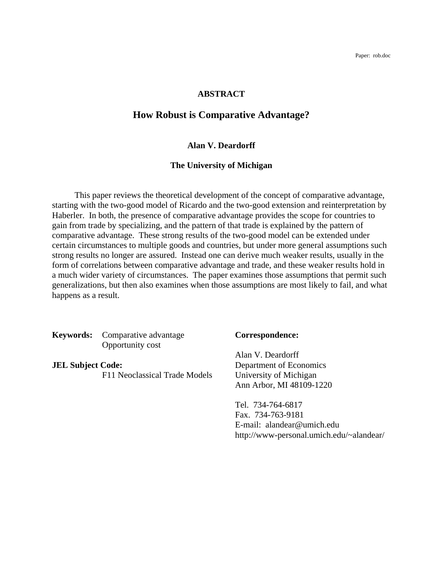## **ABSTRACT**

## **How Robust is Comparative Advantage?**

## **Alan V. Deardorff**

#### **The University of Michigan**

 This paper reviews the theoretical development of the concept of comparative advantage, starting with the two-good model of Ricardo and the two-good extension and reinterpretation by Haberler. In both, the presence of comparative advantage provides the scope for countries to gain from trade by specializing, and the pattern of that trade is explained by the pattern of comparative advantage. These strong results of the two-good model can be extended under certain circumstances to multiple goods and countries, but under more general assumptions such strong results no longer are assured. Instead one can derive much weaker results, usually in the form of correlations between comparative advantage and trade, and these weaker results hold in a much wider variety of circumstances. The paper examines those assumptions that permit such generalizations, but then also examines when those assumptions are most likely to fail, and what happens as a result.

**Keywords:** Comparative advantage **Correspondence:** Opportunity cost

F11 Neoclassical Trade Models University of Michigan

Alan V. Deardorff **JEL Subject Code:** Department of Economics Ann Arbor, MI 48109-1220

> Tel. 734-764-6817 Fax. 734-763-9181 E-mail: alandear@umich.edu http://www-personal.umich.edu/~alandear/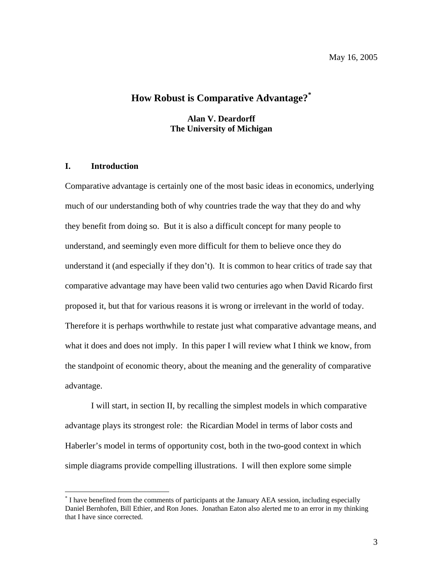May 16, 2005

## **How Robust is Comparative Advantage?[\\*](#page-3-0)**

**Alan V. Deardorff The University of Michigan** 

## **I. Introduction**

 $\overline{a}$ 

Comparative advantage is certainly one of the most basic ideas in economics, underlying much of our understanding both of why countries trade the way that they do and why they benefit from doing so. But it is also a difficult concept for many people to understand, and seemingly even more difficult for them to believe once they do understand it (and especially if they don't). It is common to hear critics of trade say that comparative advantage may have been valid two centuries ago when David Ricardo first proposed it, but that for various reasons it is wrong or irrelevant in the world of today. Therefore it is perhaps worthwhile to restate just what comparative advantage means, and what it does and does not imply. In this paper I will review what I think we know, from the standpoint of economic theory, about the meaning and the generality of comparative advantage.

I will start, in section II, by recalling the simplest models in which comparative advantage plays its strongest role: the Ricardian Model in terms of labor costs and Haberler's model in terms of opportunity cost, both in the two-good context in which simple diagrams provide compelling illustrations. I will then explore some simple

<span id="page-3-0"></span><sup>\*</sup> I have benefited from the comments of participants at the January AEA session, including especially Daniel Bernhofen, Bill Ethier, and Ron Jones. Jonathan Eaton also alerted me to an error in my thinking that I have since corrected.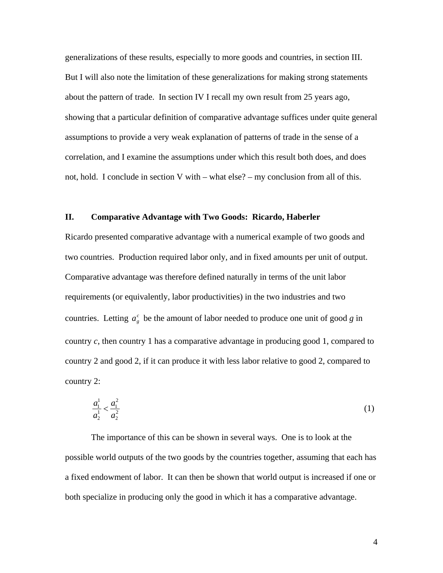generalizations of these results, especially to more goods and countries, in section III. But I will also note the limitation of these generalizations for making strong statements about the pattern of trade. In section IV I recall my own result from 25 years ago, showing that a particular definition of comparative advantage suffices under quite general assumptions to provide a very weak explanation of patterns of trade in the sense of a correlation, and I examine the assumptions under which this result both does, and does not, hold. I conclude in section V with – what else? – my conclusion from all of this.

## **II. Comparative Advantage with Two Goods: Ricardo, Haberler**

Ricardo presented comparative advantage with a numerical example of two goods and two countries. Production required labor only, and in fixed amounts per unit of output. Comparative advantage was therefore defined naturally in terms of the unit labor requirements (or equivalently, labor productivities) in the two industries and two countries. Letting  $a<sub>g</sub><sup>c</sup>$  be the amount of labor needed to produce one unit of good *g* in country *c*, then country 1 has a comparative advantage in producing good 1, compared to country 2 and good 2, if it can produce it with less labor relative to good 2, compared to country 2:

$$
\frac{a_1^1}{a_2^1} < \frac{a_1^2}{a_2^2} \tag{1}
$$

The importance of this can be shown in several ways. One is to look at the possible world outputs of the two goods by the countries together, assuming that each has a fixed endowment of labor. It can then be shown that world output is increased if one or both specialize in producing only the good in which it has a comparative advantage.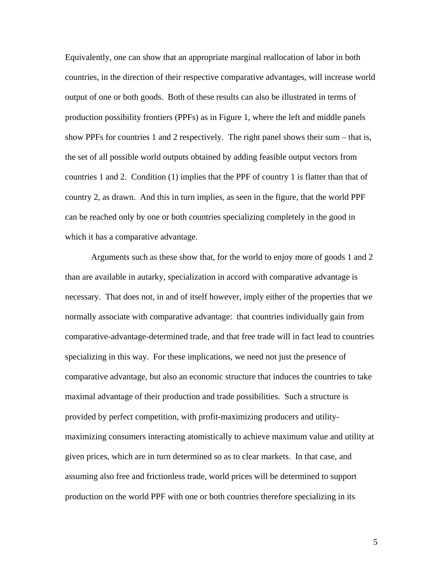Equivalently, one can show that an appropriate marginal reallocation of labor in both countries, in the direction of their respective comparative advantages, will increase world output of one or both goods. Both of these results can also be illustrated in terms of production possibility frontiers (PPFs) as in Figure 1, where the left and middle panels show PPFs for countries 1 and 2 respectively. The right panel shows their sum – that is, the set of all possible world outputs obtained by adding feasible output vectors from countries 1 and 2. Condition (1) implies that the PPF of country 1 is flatter than that of country 2, as drawn. And this in turn implies, as seen in the figure, that the world PPF can be reached only by one or both countries specializing completely in the good in which it has a comparative advantage.

Arguments such as these show that, for the world to enjoy more of goods 1 and 2 than are available in autarky, specialization in accord with comparative advantage is necessary. That does not, in and of itself however, imply either of the properties that we normally associate with comparative advantage: that countries individually gain from comparative-advantage-determined trade, and that free trade will in fact lead to countries specializing in this way. For these implications, we need not just the presence of comparative advantage, but also an economic structure that induces the countries to take maximal advantage of their production and trade possibilities. Such a structure is provided by perfect competition, with profit-maximizing producers and utilitymaximizing consumers interacting atomistically to achieve maximum value and utility at given prices, which are in turn determined so as to clear markets. In that case, and assuming also free and frictionless trade, world prices will be determined to support production on the world PPF with one or both countries therefore specializing in its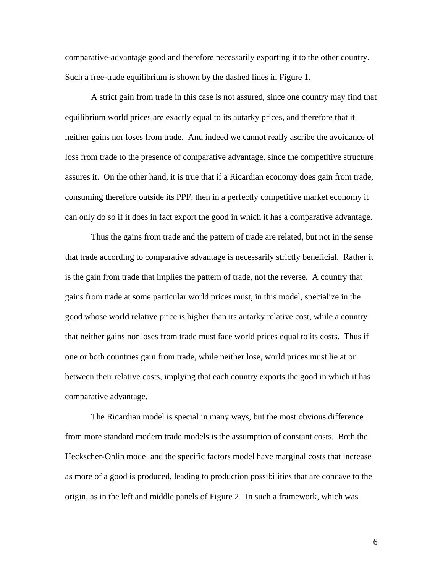comparative-advantage good and therefore necessarily exporting it to the other country. Such a free-trade equilibrium is shown by the dashed lines in Figure 1.

A strict gain from trade in this case is not assured, since one country may find that equilibrium world prices are exactly equal to its autarky prices, and therefore that it neither gains nor loses from trade. And indeed we cannot really ascribe the avoidance of loss from trade to the presence of comparative advantage, since the competitive structure assures it. On the other hand, it is true that if a Ricardian economy does gain from trade, consuming therefore outside its PPF, then in a perfectly competitive market economy it can only do so if it does in fact export the good in which it has a comparative advantage.

Thus the gains from trade and the pattern of trade are related, but not in the sense that trade according to comparative advantage is necessarily strictly beneficial. Rather it is the gain from trade that implies the pattern of trade, not the reverse. A country that gains from trade at some particular world prices must, in this model, specialize in the good whose world relative price is higher than its autarky relative cost, while a country that neither gains nor loses from trade must face world prices equal to its costs. Thus if one or both countries gain from trade, while neither lose, world prices must lie at or between their relative costs, implying that each country exports the good in which it has comparative advantage.

The Ricardian model is special in many ways, but the most obvious difference from more standard modern trade models is the assumption of constant costs. Both the Heckscher-Ohlin model and the specific factors model have marginal costs that increase as more of a good is produced, leading to production possibilities that are concave to the origin, as in the left and middle panels of Figure 2. In such a framework, which was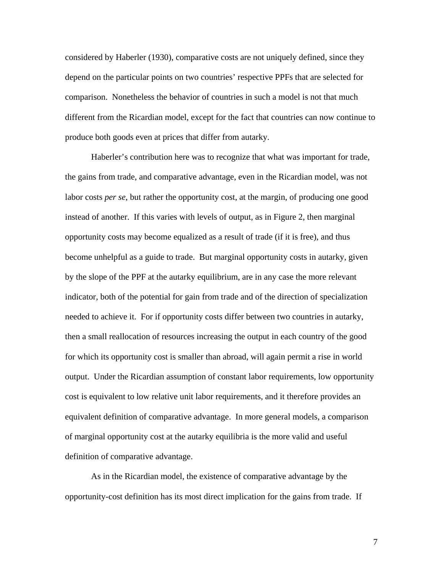considered by Haberler (1930), comparative costs are not uniquely defined, since they depend on the particular points on two countries' respective PPFs that are selected for comparison. Nonetheless the behavior of countries in such a model is not that much different from the Ricardian model, except for the fact that countries can now continue to produce both goods even at prices that differ from autarky.

 Haberler's contribution here was to recognize that what was important for trade, the gains from trade, and comparative advantage, even in the Ricardian model, was not labor costs *per se*, but rather the opportunity cost, at the margin, of producing one good instead of another. If this varies with levels of output, as in Figure 2, then marginal opportunity costs may become equalized as a result of trade (if it is free), and thus become unhelpful as a guide to trade. But marginal opportunity costs in autarky, given by the slope of the PPF at the autarky equilibrium, are in any case the more relevant indicator, both of the potential for gain from trade and of the direction of specialization needed to achieve it. For if opportunity costs differ between two countries in autarky, then a small reallocation of resources increasing the output in each country of the good for which its opportunity cost is smaller than abroad, will again permit a rise in world output. Under the Ricardian assumption of constant labor requirements, low opportunity cost is equivalent to low relative unit labor requirements, and it therefore provides an equivalent definition of comparative advantage. In more general models, a comparison of marginal opportunity cost at the autarky equilibria is the more valid and useful definition of comparative advantage.

As in the Ricardian model, the existence of comparative advantage by the opportunity-cost definition has its most direct implication for the gains from trade. If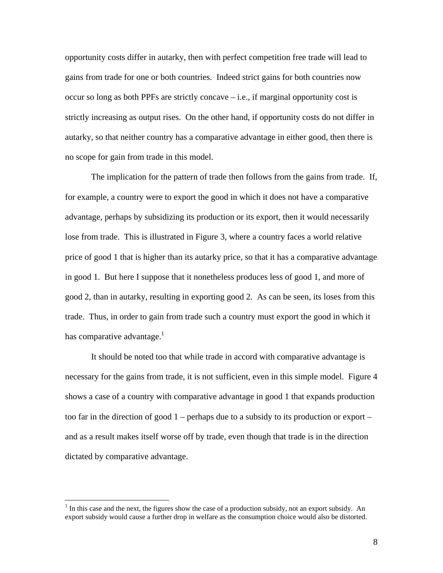opportunity costs differ in autarky, then with perfect competition free trade will lead to gains from trade for one or both countries. Indeed strict gains for both countries now occur so long as both PPFs are strictly concave  $-$  i.e., if marginal opportunity cost is strictly increasing as output rises. On the other hand, if opportunity costs do not differ in autarky, so that neither country has a comparative advantage in either good, then there is no scope for gain from trade in this model.

The implication for the pattern of trade then follows from the gains from trade. If, for example, a country were to export the good in which it does not have a comparative advantage, perhaps by subsidizing its production or its export, then it would necessarily lose from trade. This is illustrated in Figure 3, where a country faces a world relative price of good 1 that is higher than its autarky price, so that it has a comparative advantage in good 1. But here I suppose that it nonetheless produces less of good 1, and more of good 2, than in autarky, resulting in exporting good 2. As can be seen, its loses from this trade. Thus, in order to gain from trade such a country must export the good in which it has comparative advantage. $<sup>1</sup>$ </sup>

It should be noted too that while trade in accord with comparative advantage is necessary for the gains from trade, it is not sufficient, even in this simple model. Figure 4 shows a case of a country with comparative advantage in good 1 that expands production too far in the direction of good 1 – perhaps due to a subsidy to its production or export – and as a result makes itself worse off by trade, even though that trade is in the direction dictated by comparative advantage.

 $\overline{a}$ 

<span id="page-8-0"></span> $<sup>1</sup>$  In this case and the next, the figures show the case of a production subsidy, not an export subsidy. An</sup> export subsidy would cause a further drop in welfare as the consumption choice would also be distorted.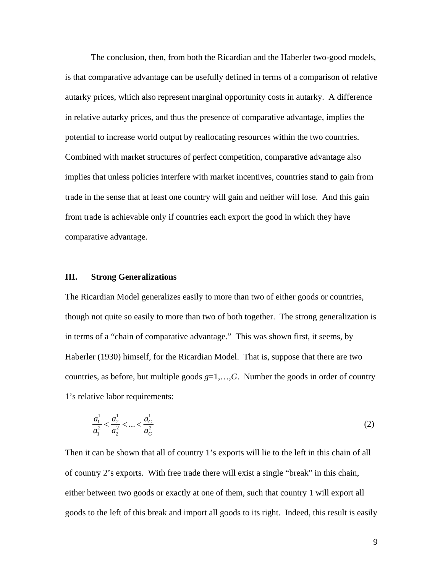The conclusion, then, from both the Ricardian and the Haberler two-good models, is that comparative advantage can be usefully defined in terms of a comparison of relative autarky prices, which also represent marginal opportunity costs in autarky. A difference in relative autarky prices, and thus the presence of comparative advantage, implies the potential to increase world output by reallocating resources within the two countries. Combined with market structures of perfect competition, comparative advantage also implies that unless policies interfere with market incentives, countries stand to gain from trade in the sense that at least one country will gain and neither will lose. And this gain from trade is achievable only if countries each export the good in which they have comparative advantage.

## **III. Strong Generalizations**

The Ricardian Model generalizes easily to more than two of either goods or countries, though not quite so easily to more than two of both together. The strong generalization is in terms of a "chain of comparative advantage." This was shown first, it seems, by Haberler (1930) himself, for the Ricardian Model. That is, suppose that there are two countries, as before, but multiple goods  $g=1,\ldots,G$ . Number the goods in order of country 1's relative labor requirements:

$$
\frac{a_1^1}{a_1^2} < \frac{a_2^1}{a_2^2} < \dots < \frac{a_G^1}{a_G^2} \tag{2}
$$

Then it can be shown that all of country 1's exports will lie to the left in this chain of all of country 2's exports. With free trade there will exist a single "break" in this chain, either between two goods or exactly at one of them, such that country 1 will export all goods to the left of this break and import all goods to its right. Indeed, this result is easily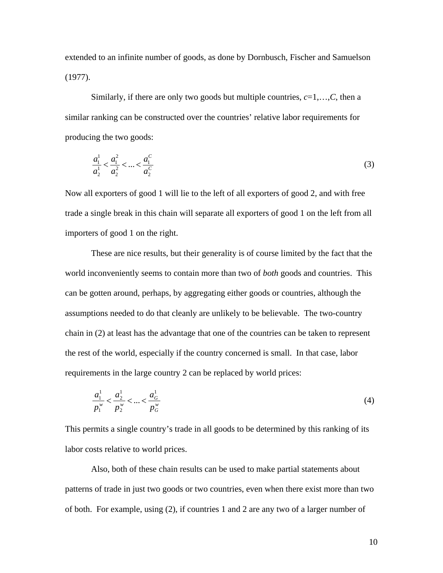extended to an infinite number of goods, as done by Dornbusch, Fischer and Samuelson (1977).

Similarly, if there are only two goods but multiple countries,  $c=1,\ldots,C$ , then a similar ranking can be constructed over the countries' relative labor requirements for producing the two goods:

$$
\frac{a_1^1}{a_2^1} < \frac{a_1^2}{a_2^2} < \dots < \frac{a_1^C}{a_2^C} \tag{3}
$$

Now all exporters of good 1 will lie to the left of all exporters of good 2, and with free trade a single break in this chain will separate all exporters of good 1 on the left from all importers of good 1 on the right.

These are nice results, but their generality is of course limited by the fact that the world inconveniently seems to contain more than two of *both* goods and countries. This can be gotten around, perhaps, by aggregating either goods or countries, although the assumptions needed to do that cleanly are unlikely to be believable. The two-country chain in (2) at least has the advantage that one of the countries can be taken to represent the rest of the world, especially if the country concerned is small. In that case, labor requirements in the large country 2 can be replaced by world prices:

$$
\frac{a_1^1}{p_1^w} < \frac{a_2^1}{p_2^w} < \dots < \frac{a_G^1}{p_G^w} \tag{4}
$$

This permits a single country's trade in all goods to be determined by this ranking of its labor costs relative to world prices.

Also, both of these chain results can be used to make partial statements about patterns of trade in just two goods or two countries, even when there exist more than two of both. For example, using (2), if countries 1 and 2 are any two of a larger number of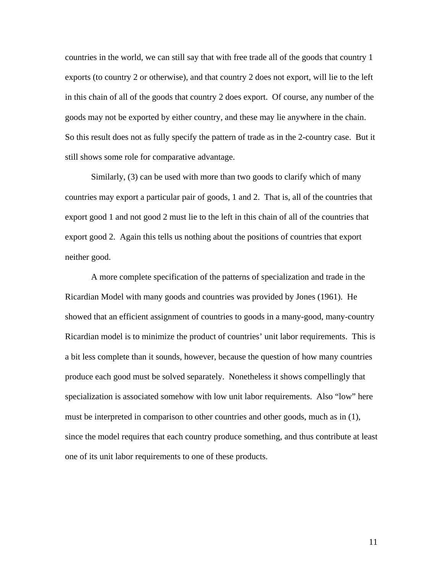countries in the world, we can still say that with free trade all of the goods that country 1 exports (to country 2 or otherwise), and that country 2 does not export, will lie to the left in this chain of all of the goods that country 2 does export. Of course, any number of the goods may not be exported by either country, and these may lie anywhere in the chain. So this result does not as fully specify the pattern of trade as in the 2-country case. But it still shows some role for comparative advantage.

Similarly, (3) can be used with more than two goods to clarify which of many countries may export a particular pair of goods, 1 and 2. That is, all of the countries that export good 1 and not good 2 must lie to the left in this chain of all of the countries that export good 2. Again this tells us nothing about the positions of countries that export neither good.

A more complete specification of the patterns of specialization and trade in the Ricardian Model with many goods and countries was provided by Jones (1961). He showed that an efficient assignment of countries to goods in a many-good, many-country Ricardian model is to minimize the product of countries' unit labor requirements. This is a bit less complete than it sounds, however, because the question of how many countries produce each good must be solved separately. Nonetheless it shows compellingly that specialization is associated somehow with low unit labor requirements. Also "low" here must be interpreted in comparison to other countries and other goods, much as in (1), since the model requires that each country produce something, and thus contribute at least one of its unit labor requirements to one of these products.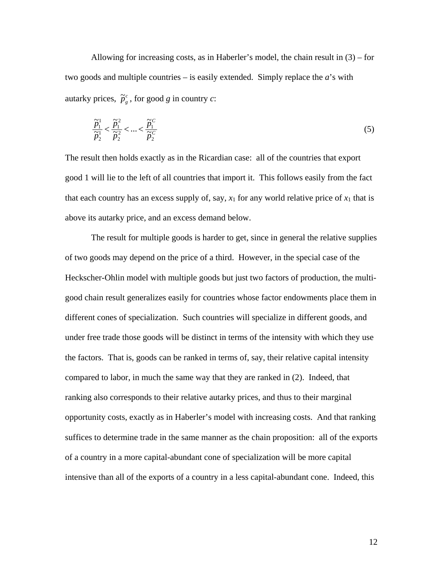Allowing for increasing costs, as in Haberler's model, the chain result in (3) – for two goods and multiple countries – is easily extended. Simply replace the *a*'s with autarky prices,  $\tilde{p}_g^c$ , for good *g* in country *c*:

$$
\frac{\widetilde{p}_1^1}{\widetilde{p}_2^1} < \frac{\widetilde{p}_1^2}{\widetilde{p}_2^2} < \dots < \frac{\widetilde{p}_1^C}{\widetilde{p}_2^C} \tag{5}
$$

The result then holds exactly as in the Ricardian case: all of the countries that export good 1 will lie to the left of all countries that import it. This follows easily from the fact that each country has an excess supply of, say,  $x_1$  for any world relative price of  $x_1$  that is above its autarky price, and an excess demand below.

The result for multiple goods is harder to get, since in general the relative supplies of two goods may depend on the price of a third. However, in the special case of the Heckscher-Ohlin model with multiple goods but just two factors of production, the multigood chain result generalizes easily for countries whose factor endowments place them in different cones of specialization. Such countries will specialize in different goods, and under free trade those goods will be distinct in terms of the intensity with which they use the factors. That is, goods can be ranked in terms of, say, their relative capital intensity compared to labor, in much the same way that they are ranked in (2). Indeed, that ranking also corresponds to their relative autarky prices, and thus to their marginal opportunity costs, exactly as in Haberler's model with increasing costs. And that ranking suffices to determine trade in the same manner as the chain proposition: all of the exports of a country in a more capital-abundant cone of specialization will be more capital intensive than all of the exports of a country in a less capital-abundant cone. Indeed, this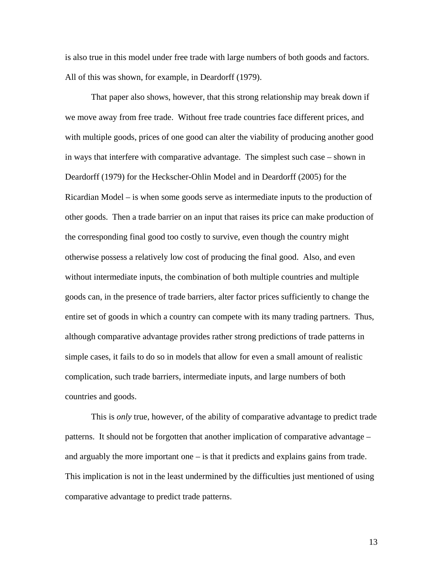is also true in this model under free trade with large numbers of both goods and factors. All of this was shown, for example, in Deardorff (1979).

That paper also shows, however, that this strong relationship may break down if we move away from free trade. Without free trade countries face different prices, and with multiple goods, prices of one good can alter the viability of producing another good in ways that interfere with comparative advantage. The simplest such case – shown in Deardorff (1979) for the Heckscher-Ohlin Model and in Deardorff (2005) for the Ricardian Model – is when some goods serve as intermediate inputs to the production of other goods. Then a trade barrier on an input that raises its price can make production of the corresponding final good too costly to survive, even though the country might otherwise possess a relatively low cost of producing the final good. Also, and even without intermediate inputs, the combination of both multiple countries and multiple goods can, in the presence of trade barriers, alter factor prices sufficiently to change the entire set of goods in which a country can compete with its many trading partners. Thus, although comparative advantage provides rather strong predictions of trade patterns in simple cases, it fails to do so in models that allow for even a small amount of realistic complication, such trade barriers, intermediate inputs, and large numbers of both countries and goods.

 This is *only* true, however, of the ability of comparative advantage to predict trade patterns. It should not be forgotten that another implication of comparative advantage – and arguably the more important one – is that it predicts and explains gains from trade. This implication is not in the least undermined by the difficulties just mentioned of using comparative advantage to predict trade patterns.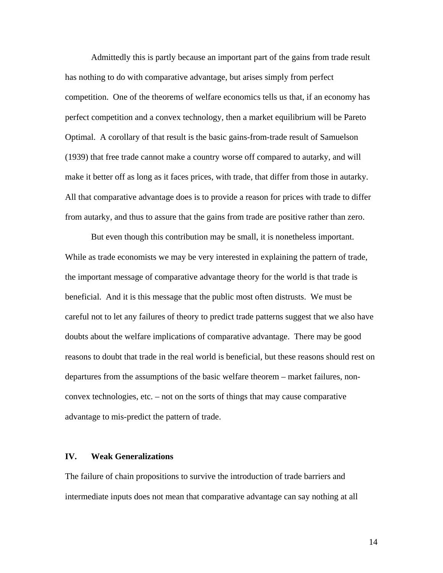Admittedly this is partly because an important part of the gains from trade result has nothing to do with comparative advantage, but arises simply from perfect competition. One of the theorems of welfare economics tells us that, if an economy has perfect competition and a convex technology, then a market equilibrium will be Pareto Optimal. A corollary of that result is the basic gains-from-trade result of Samuelson (1939) that free trade cannot make a country worse off compared to autarky, and will make it better off as long as it faces prices, with trade, that differ from those in autarky. All that comparative advantage does is to provide a reason for prices with trade to differ from autarky, and thus to assure that the gains from trade are positive rather than zero.

But even though this contribution may be small, it is nonetheless important. While as trade economists we may be very interested in explaining the pattern of trade, the important message of comparative advantage theory for the world is that trade is beneficial. And it is this message that the public most often distrusts. We must be careful not to let any failures of theory to predict trade patterns suggest that we also have doubts about the welfare implications of comparative advantage. There may be good reasons to doubt that trade in the real world is beneficial, but these reasons should rest on departures from the assumptions of the basic welfare theorem – market failures, nonconvex technologies, etc. – not on the sorts of things that may cause comparative advantage to mis-predict the pattern of trade.

## **IV. Weak Generalizations**

The failure of chain propositions to survive the introduction of trade barriers and intermediate inputs does not mean that comparative advantage can say nothing at all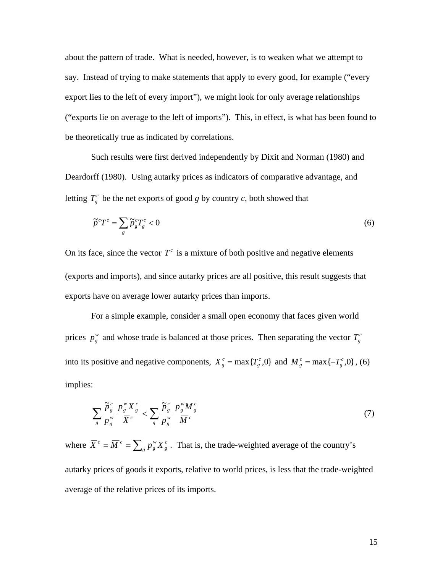about the pattern of trade. What is needed, however, is to weaken what we attempt to say. Instead of trying to make statements that apply to every good, for example ("every export lies to the left of every import"), we might look for only average relationships ("exports lie on average to the left of imports"). This, in effect, is what has been found to be theoretically true as indicated by correlations.

Such results were first derived independently by Dixit and Norman (1980) and Deardorff (1980). Using autarky prices as indicators of comparative advantage, and letting  $T_g^c$  be the net exports of good *g* by country *c*, both showed that

$$
\tilde{p}^c T^c = \sum_g \tilde{p}_g^c T_g^c < 0 \tag{6}
$$

On its face, since the vector  $T^c$  is a mixture of both positive and negative elements (exports and imports), and since autarky prices are all positive, this result suggests that exports have on average lower autarky prices than imports.

For a simple example, consider a small open economy that faces given world prices  $p_g^{\nu}$  and whose trade is balanced at those prices. Then separating the vector  $T_g^c$ into its positive and negative components,  $X_g^c = \max\{T_g^c, 0\}$  and  $M_g^c = \max\{-T_g^c, 0\}$ , (6) implies:

$$
\sum_{g} \frac{\tilde{p}_{g}^{c}}{p_{g}^{w}} \frac{p_{g}^{w} X_{g}^{c}}{\overline{X}^{c}} < \sum_{g} \frac{\tilde{p}_{g}^{c}}{p_{g}^{w}} \frac{p_{g}^{w} M_{g}^{c}}{\overline{M}^{c}} \tag{7}
$$

where  $\overline{X}^c = \overline{M}^c = \sum_g p_g^w X_g^c$ *g w*  $\overline{X}^c = \overline{M}^c = \sum_{g} p_g^w X_g^c$ . That is, the trade-weighted average of the country's autarky prices of goods it exports, relative to world prices, is less that the trade-weighted average of the relative prices of its imports.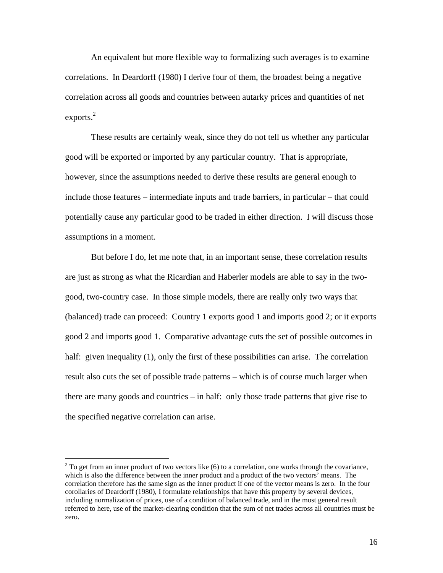An equivalent but more flexible way to formalizing such averages is to examine correlations. In Deardorff (1980) I derive four of them, the broadest being a negative correlation across all goods and countries between autarky prices and quantities of net exports.<sup>2</sup>

These results are certainly weak, since they do not tell us whether any particular good will be exported or imported by any particular country. That is appropriate, however, since the assumptions needed to derive these results are general enough to include those features – intermediate inputs and trade barriers, in particular – that could potentially cause any particular good to be traded in either direction. I will discuss those assumptions in a moment.

But before I do, let me note that, in an important sense, these correlation results are just as strong as what the Ricardian and Haberler models are able to say in the twogood, two-country case. In those simple models, there are really only two ways that (balanced) trade can proceed: Country 1 exports good 1 and imports good 2; or it exports good 2 and imports good 1. Comparative advantage cuts the set of possible outcomes in half: given inequality (1), only the first of these possibilities can arise. The correlation result also cuts the set of possible trade patterns – which is of course much larger when there are many goods and countries – in half: only those trade patterns that give rise to the specified negative correlation can arise.

 $\overline{a}$ 

<span id="page-16-0"></span> $2^2$  To get from an inner product of two vectors like (6) to a correlation, one works through the covariance, which is also the difference between the inner product and a product of the two vectors' means. The correlation therefore has the same sign as the inner product if one of the vector means is zero. In the four corollaries of Deardorff (1980), I formulate relationships that have this property by several devices, including normalization of prices, use of a condition of balanced trade, and in the most general result referred to here, use of the market-clearing condition that the sum of net trades across all countries must be zero.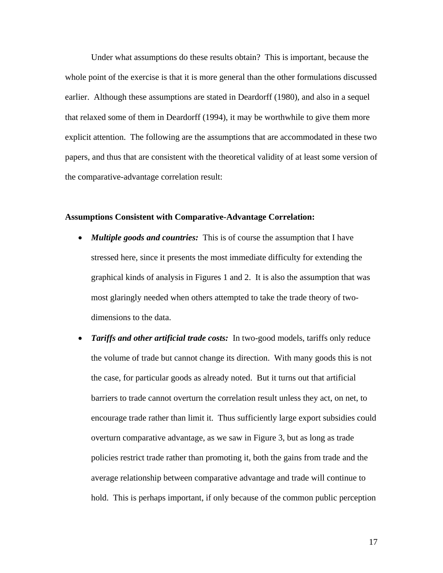Under what assumptions do these results obtain? This is important, because the whole point of the exercise is that it is more general than the other formulations discussed earlier. Although these assumptions are stated in Deardorff (1980), and also in a sequel that relaxed some of them in Deardorff (1994), it may be worthwhile to give them more explicit attention. The following are the assumptions that are accommodated in these two papers, and thus that are consistent with the theoretical validity of at least some version of the comparative-advantage correlation result:

#### **Assumptions Consistent with Comparative-Advantage Correlation:**

- *Multiple goods and countries:* This is of course the assumption that I have stressed here, since it presents the most immediate difficulty for extending the graphical kinds of analysis in Figures 1 and 2. It is also the assumption that was most glaringly needed when others attempted to take the trade theory of twodimensions to the data.
- *Tariffs and other artificial trade costs:* In two-good models, tariffs only reduce the volume of trade but cannot change its direction. With many goods this is not the case, for particular goods as already noted. But it turns out that artificial barriers to trade cannot overturn the correlation result unless they act, on net, to encourage trade rather than limit it. Thus sufficiently large export subsidies could overturn comparative advantage, as we saw in Figure 3, but as long as trade policies restrict trade rather than promoting it, both the gains from trade and the average relationship between comparative advantage and trade will continue to hold. This is perhaps important, if only because of the common public perception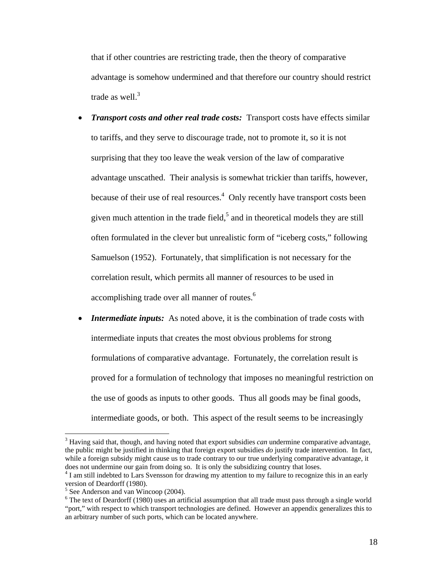that if other countries are restricting trade, then the theory of comparative advantage is somehow undermined and that therefore our country should restrict trade as well. $3$ 

- *Transport costs and other real trade costs:* Transport costs have effects similar to tariffs, and they serve to discourage trade, not to promote it, so it is not surprising that they too leave the weak version of the law of comparative advantage unscathed. Their analysis is somewhat trickier than tariffs, however, because of their use of real resources.<sup>4</sup> Only recently have transport costs been given much attention in the trade field, $<sup>5</sup>$  $<sup>5</sup>$  $<sup>5</sup>$  and in theoretical models they are still</sup> often formulated in the clever but unrealistic form of "iceberg costs," following Samuelson (1952). Fortunately, that simplification is not necessary for the correlation result, which permits all manner of resources to be used in accomplishing trade over all manner of routes.<sup>[6](#page-18-3)</sup>
- *Intermediate inputs:* As noted above, it is the combination of trade costs with intermediate inputs that creates the most obvious problems for strong formulations of comparative advantage. Fortunately, the correlation result is proved for a formulation of technology that imposes no meaningful restriction on the use of goods as inputs to other goods. Thus all goods may be final goods, intermediate goods, or both. This aspect of the result seems to be increasingly

 $\overline{a}$ 

<span id="page-18-0"></span><sup>&</sup>lt;sup>3</sup> Having said that, though, and having noted that export subsidies *can* undermine comparative advantage, the public might be justified in thinking that foreign export subsidies *do* justify trade intervention. In fact, while a foreign subsidy might cause us to trade contrary to our true underlying comparative advantage, it does not undermine our gain from doing so. It is only the subsidizing country that loses. <sup>4</sup>

<span id="page-18-1"></span><sup>&</sup>lt;sup>4</sup> I am still indebted to Lars Svensson for drawing my attention to my failure to recognize this in an early version of Deardorff (1980).<br> $<sup>5</sup>$  See Anderson and van Wincoop (2004).</sup>

<span id="page-18-2"></span>

<span id="page-18-3"></span> $6$  The text of Deardorff (1980) uses an artificial assumption that all trade must pass through a single world "port," with respect to which transport technologies are defined. However an appendix generalizes this to an arbitrary number of such ports, which can be located anywhere.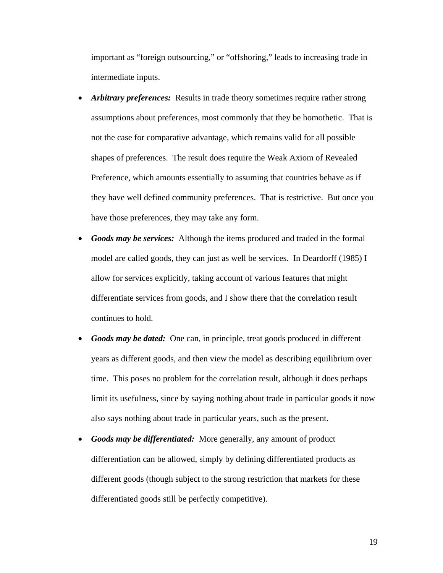important as "foreign outsourcing," or "offshoring," leads to increasing trade in intermediate inputs.

- *Arbitrary preferences:* Results in trade theory sometimes require rather strong assumptions about preferences, most commonly that they be homothetic. That is not the case for comparative advantage, which remains valid for all possible shapes of preferences. The result does require the Weak Axiom of Revealed Preference, which amounts essentially to assuming that countries behave as if they have well defined community preferences. That is restrictive. But once you have those preferences, they may take any form.
- *Goods may be services:*Although the items produced and traded in the formal model are called goods, they can just as well be services. In Deardorff (1985) I allow for services explicitly, taking account of various features that might differentiate services from goods, and I show there that the correlation result continues to hold.
- *Goods may be dated:* One can, in principle, treat goods produced in different years as different goods, and then view the model as describing equilibrium over time. This poses no problem for the correlation result, although it does perhaps limit its usefulness, since by saying nothing about trade in particular goods it now also says nothing about trade in particular years, such as the present.
- *Goods may be differentiated:* More generally, any amount of product differentiation can be allowed, simply by defining differentiated products as different goods (though subject to the strong restriction that markets for these differentiated goods still be perfectly competitive).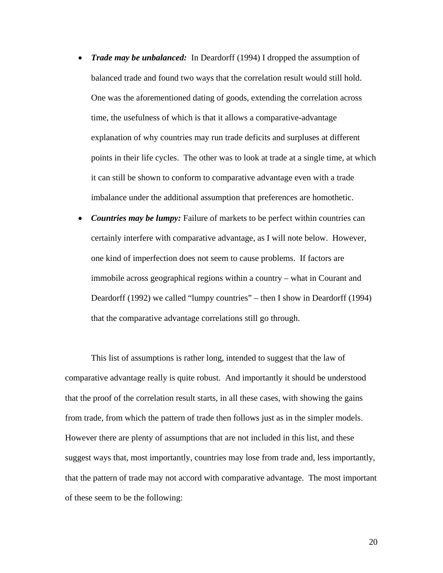- *Trade may be unbalanced:* In Deardorff (1994) I dropped the assumption of balanced trade and found two ways that the correlation result would still hold. One was the aforementioned dating of goods, extending the correlation across time, the usefulness of which is that it allows a comparative-advantage explanation of why countries may run trade deficits and surpluses at different points in their life cycles. The other was to look at trade at a single time, at which it can still be shown to conform to comparative advantage even with a trade imbalance under the additional assumption that preferences are homothetic.
- *Countries may be lumpy:* Failure of markets to be perfect within countries can certainly interfere with comparative advantage, as I will note below. However, one kind of imperfection does not seem to cause problems. If factors are immobile across geographical regions within a country – what in Courant and Deardorff (1992) we called "lumpy countries" – then I show in Deardorff (1994) that the comparative advantage correlations still go through.

This list of assumptions is rather long, intended to suggest that the law of comparative advantage really is quite robust. And importantly it should be understood that the proof of the correlation result starts, in all these cases, with showing the gains from trade, from which the pattern of trade then follows just as in the simpler models. However there are plenty of assumptions that are not included in this list, and these suggest ways that, most importantly, countries may lose from trade and, less importantly, that the pattern of trade may not accord with comparative advantage. The most important of these seem to be the following: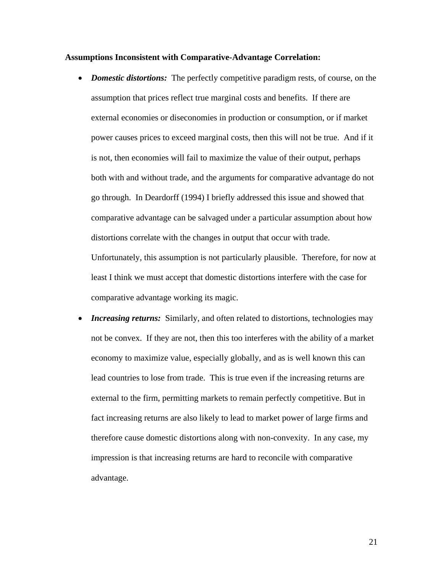#### **Assumptions Inconsistent with Comparative-Advantage Correlation:**

• *Domestic distortions:* The perfectly competitive paradigm rests, of course, on the assumption that prices reflect true marginal costs and benefits. If there are external economies or diseconomies in production or consumption, or if market power causes prices to exceed marginal costs, then this will not be true. And if it is not, then economies will fail to maximize the value of their output, perhaps both with and without trade, and the arguments for comparative advantage do not go through. In Deardorff (1994) I briefly addressed this issue and showed that comparative advantage can be salvaged under a particular assumption about how distortions correlate with the changes in output that occur with trade. Unfortunately, this assumption is not particularly plausible. Therefore, for now at least I think we must accept that domestic distortions interfere with the case for

comparative advantage working its magic.

• *Increasing returns:* Similarly, and often related to distortions, technologies may not be convex. If they are not, then this too interferes with the ability of a market economy to maximize value, especially globally, and as is well known this can lead countries to lose from trade. This is true even if the increasing returns are external to the firm, permitting markets to remain perfectly competitive. But in fact increasing returns are also likely to lead to market power of large firms and therefore cause domestic distortions along with non-convexity. In any case, my impression is that increasing returns are hard to reconcile with comparative advantage.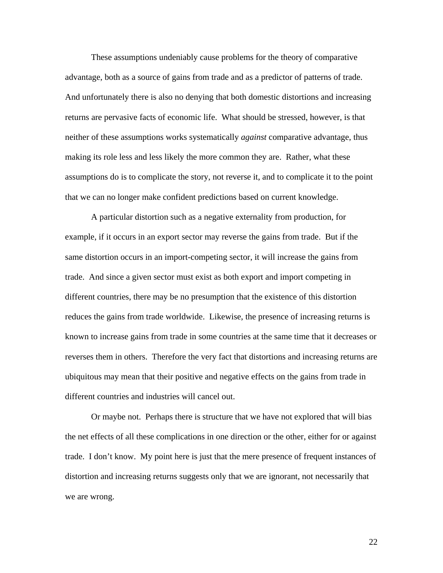These assumptions undeniably cause problems for the theory of comparative advantage, both as a source of gains from trade and as a predictor of patterns of trade. And unfortunately there is also no denying that both domestic distortions and increasing returns are pervasive facts of economic life. What should be stressed, however, is that neither of these assumptions works systematically *against* comparative advantage, thus making its role less and less likely the more common they are. Rather, what these assumptions do is to complicate the story, not reverse it, and to complicate it to the point that we can no longer make confident predictions based on current knowledge.

A particular distortion such as a negative externality from production, for example, if it occurs in an export sector may reverse the gains from trade. But if the same distortion occurs in an import-competing sector, it will increase the gains from trade. And since a given sector must exist as both export and import competing in different countries, there may be no presumption that the existence of this distortion reduces the gains from trade worldwide. Likewise, the presence of increasing returns is known to increase gains from trade in some countries at the same time that it decreases or reverses them in others. Therefore the very fact that distortions and increasing returns are ubiquitous may mean that their positive and negative effects on the gains from trade in different countries and industries will cancel out.

Or maybe not. Perhaps there is structure that we have not explored that will bias the net effects of all these complications in one direction or the other, either for or against trade. I don't know. My point here is just that the mere presence of frequent instances of distortion and increasing returns suggests only that we are ignorant, not necessarily that we are wrong.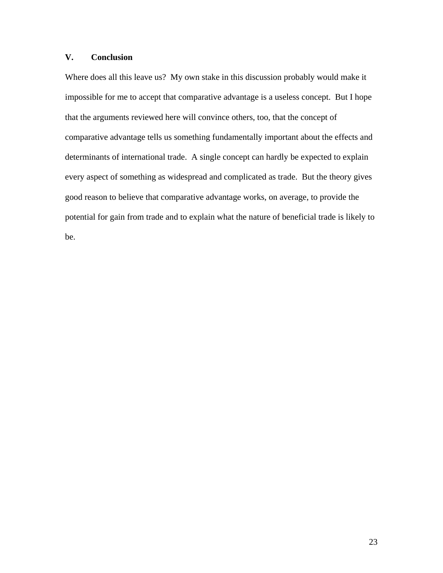## **V. Conclusion**

Where does all this leave us? My own stake in this discussion probably would make it impossible for me to accept that comparative advantage is a useless concept. But I hope that the arguments reviewed here will convince others, too, that the concept of comparative advantage tells us something fundamentally important about the effects and determinants of international trade. A single concept can hardly be expected to explain every aspect of something as widespread and complicated as trade. But the theory gives good reason to believe that comparative advantage works, on average, to provide the potential for gain from trade and to explain what the nature of beneficial trade is likely to be.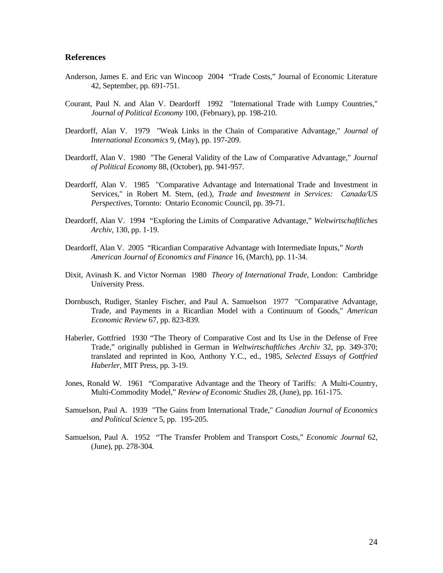## **References**

- Anderson, James E. and Eric van Wincoop 2004 "Trade Costs," Journal of Economic Literature 42, September, pp. 691-751.
- Courant, Paul N. and Alan V. Deardorff 1992 "International Trade with Lumpy Countries," *Journal of Political Economy* 100, (February), pp. 198-210.
- Deardorff, Alan V. 1979 "Weak Links in the Chain of Comparative Advantage," *Journal of International Economics* 9, (May), pp. 197-209.
- Deardorff, Alan V. 1980 "The General Validity of the Law of Comparative Advantage," *Journal of Political Economy* 88, (October), pp. 941-957.
- Deardorff, Alan V. 1985 "Comparative Advantage and International Trade and Investment in Services," in Robert M. Stern, (ed.), *Trade and Investment in Services: Canada/US Perspectives*, Toronto: Ontario Economic Council, pp. 39-71.
- Deardorff, Alan V. 1994 "Exploring the Limits of Comparative Advantage," *Weltwirtschaftliches Archiv*, 130, pp. 1-19.
- Deardorff, Alan V. 2005 "Ricardian Comparative Advantage with Intermediate Inputs," *North American Journal of Economics and Finance* 16, (March), pp. 11-34.
- Dixit, Avinash K. and Victor Norman 1980 *Theory of International Trade*, London: Cambridge University Press.
- Dornbusch, Rudiger, Stanley Fischer, and Paul A. Samuelson 1977 "Comparative Advantage, Trade, and Payments in a Ricardian Model with a Continuum of Goods," *American Economic Review* 67, pp. 823-839.
- Haberler, Gottfried 1930 "The Theory of Comparative Cost and Its Use in the Defense of Free Trade," originally published in German in *Weltwirtschaftliches Archiv* 32, pp. 349-370; translated and reprinted in Koo, Anthony Y.C., ed., 1985, *Selected Essays of Gottfried Haberler*, MIT Press, pp. 3-19.
- Jones, Ronald W. 1961 "Comparative Advantage and the Theory of Tariffs: A Multi-Country, Multi-Commodity Model," *Review of Economic Studies* 28, (June), pp. 161-175.
- Samuelson, Paul A. 1939 "The Gains from International Trade," *Canadian Journal of Economics and Political Science* 5, pp. 195-205.
- Samuelson, Paul A. 1952 "The Transfer Problem and Transport Costs," *Economic Journal* 62, (June), pp. 278-304.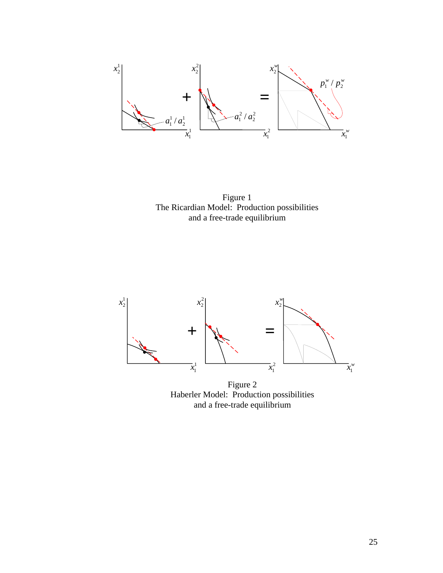

Figure 1 The Ricardian Model: Production possibilities and a free-trade equilibrium



and a free-trade equilibrium